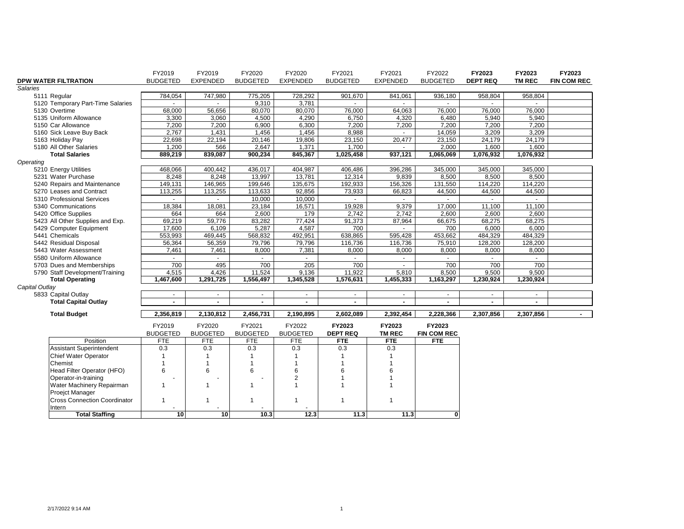|                                     | FY2019          | FY2019                   | FY2020          | FY2020          | FY2021          | FY2021                   | FY2022             | FY2023          | FY2023         | FY2023             |
|-------------------------------------|-----------------|--------------------------|-----------------|-----------------|-----------------|--------------------------|--------------------|-----------------|----------------|--------------------|
| DPW WATER FILTRATION                | <b>BUDGETED</b> | <b>EXPENDED</b>          | <b>BUDGETED</b> | <b>EXPENDED</b> | <b>BUDGETED</b> | <b>EXPENDED</b>          | <b>BUDGETED</b>    | <b>DEPT REQ</b> | <b>TM REC</b>  | <b>FIN COM REC</b> |
| Salaries                            |                 |                          |                 |                 |                 |                          |                    |                 |                |                    |
| 5111 Regular                        | 784,054         | 747,980                  | 775,205         | 728,292         | 901,670         | 841,061                  | 936,180            | 958,804         | 958,804        |                    |
| 5120 Temporary Part-Time Salaries   |                 |                          | 9,310           | 3,781           |                 |                          |                    |                 |                |                    |
| 5130 Overtime                       | 68,000          | 56,656                   | 80,070          | 80,070          | 76,000          | 64,063                   | 76,000             | 76,000          | 76,000         |                    |
| 5135 Uniform Allowance              | 3,300           | 3,060                    | 4,500           | 4,290           | 6,750           | 4,320                    | 6,480              | 5,940           | 5,940          |                    |
| 5150 Car Allowance                  | 7,200           | 7,200                    | 6,900           | 6,300           | 7,200           | 7,200                    | 7.200              | 7,200           | 7.200          |                    |
| 5160 Sick Leave Buy Back            | 2,767           | 1,431                    | 1,456           | 1,456           | 8,988           |                          | 14,059             | 3,209           | 3,209          |                    |
| 5163 Holiday Pay                    | 22,698          | 22,194                   | 20,146          | 19,806          | 23,150          | 20,477                   | 23,150             | 24,179          | 24,179         |                    |
| 5180 All Other Salaries             | 1,200           | 566                      | 2,647           | 1,371           | 1,700           |                          | 2.000              | 1,600           | 1,600          |                    |
| <b>Total Salaries</b>               | 889,219         | 839,087                  | 900,234         | 845,367         | 1,025,458       | 937,121                  | 1,065,069          | 1,076,932       | 1,076,932      |                    |
| Operating                           |                 |                          |                 |                 |                 |                          |                    |                 |                |                    |
| 5210 Energy Utilities               | 468,066         | 400,442                  | 436,017         | 404,987         | 406,486         | 396,286                  | 345,000            | 345,000         | 345,000        |                    |
| 5231 Water Purchase                 | 8,248           | 8,248                    | 13,997          | 13,781          | 12,314          | 9,839                    | 8,500              | 8,500           | 8,500          |                    |
| 5240 Repairs and Maintenance        | 149,131         | 146,965                  | 199,646         | 135,675         | 192,933         | 156,326                  | 131,550            | 114,220         | 114,220        |                    |
| 5270 Leases and Contract            | 113,255         | 113,255                  | 113,633         | 92,856          | 73,933          | 66,823                   | 44,500             | 44,500          | 44,500         |                    |
| 5310 Professional Services          | $\blacksquare$  | $\sim$                   | 10.000          | 10,000          | $\sim$          | $\sim$                   | $\sim$             |                 | $\sim$         |                    |
| 5340 Communications                 | 18,384          | 18,081                   | 23,184          | 16,571          | 19,928          | 9,379                    | 17,000             | 11,100          | 11,100         |                    |
| 5420 Office Supplies                | 664             | 664                      | 2,600           | 179             | 2,742           | 2,742                    | 2,600              | 2,600           | 2,600          |                    |
| 5423 All Other Supplies and Exp.    | 69,219          | 59,776                   | 83,282          | 77,424          | 91,373          | 87,964                   | 66,675             | 68,275          | 68,275         |                    |
| 5429 Computer Equipment             | 17.600          | 6,109                    | 5,287           | 4.587           | 700             | $\overline{\phantom{a}}$ | 700                | 6,000           | 6,000          |                    |
| 5441 Chemicals                      | 553,993         | 469,445                  | 568,832         | 492,951         | 638,865         | 595,428                  | 453,662            | 484,329         | 484,329        |                    |
| 5442 Residual Disposal              | 56,364          | 56,359                   | 79,796          | 79,796          | 116,736         | 116,736                  | 75,910             | 128,200         | 128,200        |                    |
| 5443 Water Assessment               | 7,461           | 7,461                    | 8,000           | 7,381           | 8,000           | 8,000                    | 8,000              | 8,000           | 8,000          |                    |
| 5580 Uniform Allowance              |                 |                          |                 |                 |                 | $\blacksquare$           |                    |                 |                |                    |
| 5703 Dues and Memberships           | 700             | 495                      | 700             | 205             | 700             |                          | 700                | 700             | 700            |                    |
| 5790 Staff Development/Training     | 4,515           | 4,426                    | 11,524          | 9,136           | 11,922          | 5,810                    | 8,500              | 9,500           | 9,500          |                    |
| <b>Total Operating</b>              | 1,467,600       | 1,291,725                | 1,556,497       | 1,345,528       | 1,576,631       | 1,455,333                | 1,163,297          | 1,230,924       | 1,230,924      |                    |
| Capital Outlay                      |                 |                          |                 |                 |                 |                          |                    |                 |                |                    |
| 5833 Capital Outlay                 | $\blacksquare$  | $\overline{\phantom{a}}$ | $\blacksquare$  |                 | $\blacksquare$  | $\blacksquare$           |                    |                 | $\blacksquare$ |                    |
| <b>Total Capital Outlay</b>         |                 | L.                       | $\blacksquare$  |                 |                 | ä,                       |                    |                 |                |                    |
|                                     |                 |                          |                 |                 |                 |                          |                    |                 |                |                    |
| <b>Total Budget</b>                 | 2,356,819       | 2,130,812                | 2,456,731       | 2,190,895       | 2,602,089       | 2,392,454                | 2,228,366          | 2,307,856       | 2,307,856      | $\sim$             |
|                                     | FY2019          | FY2020                   | FY2021          | FY2022          | FY2023          | FY2023                   | FY2023             |                 |                |                    |
|                                     | <b>BUDGETED</b> | <b>BUDGETED</b>          | <b>BUDGETED</b> | <b>BUDGETED</b> | <b>DEPT REQ</b> | <b>TM REC</b>            | <b>FIN COM REC</b> |                 |                |                    |
| Position                            | FTE             | <b>FTE</b>               | FTE             | FTE             | <b>FTE</b>      | <b>FTE</b>               | <b>FTE</b>         |                 |                |                    |
| Assistant Superintendent            | 0.3             | 0.3                      | 0.3             | 0.3             | 0.3             | 0.3                      |                    |                 |                |                    |
| <b>Chief Water Operator</b>         | $\mathbf{1}$    | 1                        | $\overline{1}$  | $\mathbf 1$     | 1               | $\overline{1}$           |                    |                 |                |                    |
| Chemist                             | $\overline{1}$  | $\mathbf{1}$             | $\mathbf{1}$    | 1               | 1               | 1                        |                    |                 |                |                    |
| Head Filter Operator (HFO)          | 6               | 6                        | 6               | 6               | 6               | 6                        |                    |                 |                |                    |
| Operator-in-training                |                 |                          |                 | $\overline{2}$  |                 | 1                        |                    |                 |                |                    |
| Water Machinery Repairman           | $\mathbf{1}$    | $\mathbf{1}$             | $\mathbf{1}$    | $\mathbf{1}$    | $\overline{1}$  | $\mathbf{1}$             |                    |                 |                |                    |
| Proejct Manager                     |                 |                          |                 |                 |                 |                          |                    |                 |                |                    |
| <b>Cross Connection Coordinator</b> | $\mathbf{1}$    | -1                       | $\overline{1}$  | $\mathbf{1}$    | $\overline{1}$  | $\overline{1}$           |                    |                 |                |                    |
|                                     |                 |                          |                 |                 |                 |                          |                    |                 |                |                    |
| Intern<br><b>Total Staffing</b>     | 10              | 10 <sup>1</sup>          | 10.3            | 12.3            | 11.3            | 11.3                     | $\mathbf{0}$       |                 |                |                    |
|                                     |                 |                          |                 |                 |                 |                          |                    |                 |                |                    |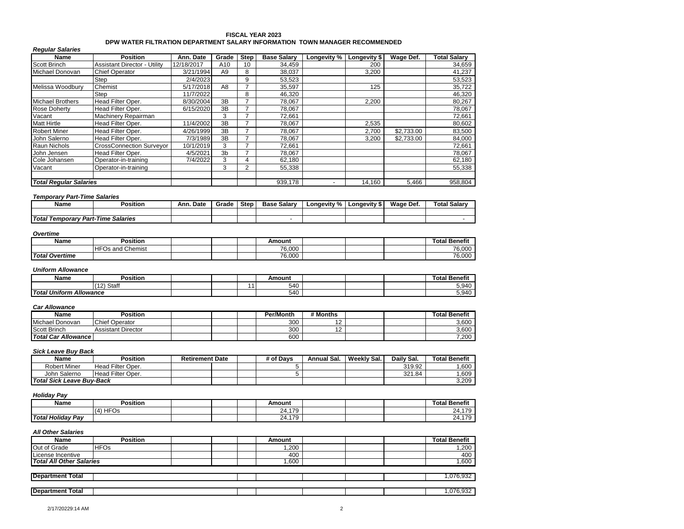### **FISCAL YEAR 2023 DPW WATER FILTRATION DEPARTMENT SALARY INFORMATION TOWN MANAGER RECOMMENDED**

| <b>Regular Salaries</b>       |                                     |            |                |             |                    |             |              |            |                     |
|-------------------------------|-------------------------------------|------------|----------------|-------------|--------------------|-------------|--------------|------------|---------------------|
| Name                          | <b>Position</b>                     | Ann. Date  | Grade          | <b>Step</b> | <b>Base Salary</b> | Longevity % | Longevity \$ | Wage Def.  | <b>Total Salarv</b> |
| Scott Brinch                  | <b>Assistant Director - Utility</b> | 12/18/2017 | A10            | 10          | 34,459             |             | 200          |            | 34,659              |
| Michael Donovan               | <b>Chief Operator</b>               | 3/21/1994  | A9             | 8           | 38,037             |             | 3.200        |            | 41,237              |
|                               | Step                                | 2/4/2023   |                | 9           | 53,523             |             |              |            | 53,523              |
| Melissa Woodbury              | Chemist                             | 5/17/2018  | A8             |             | 35,597             |             | 125          |            | 35,722              |
|                               | Step                                | 11/7/2022  |                | 8           | 46,320             |             |              |            | 46,320              |
| <b>Michael Brothers</b>       | Head Filter Oper.                   | 8/30/2004  | 3B             |             | 78,067             |             | 2,200        |            | 80,267              |
| <b>Rose Doherty</b>           | Head Filter Oper.                   | 6/15/2020  | 3B             |             | 78,067             |             |              |            | 78,067              |
| Vacant                        | Machinery Repairman                 |            | 3              |             | 72,661             |             |              |            | 72,661              |
| <b>Matt Hirtle</b>            | Head Filter Oper.                   | 11/4/2002  | 3B             |             | 78,067             |             | 2,535        |            | 80,602              |
| <b>Robert Miner</b>           | Head Filter Oper.                   | 4/26/1999  | 3B             |             | 78,067             |             | 2,700        | \$2,733.00 | 83,500              |
| John Salerno                  | Head Filter Oper.                   | 7/3/1989   | 3B             |             | 78,067             |             | 3.200        | \$2.733.00 | 84,000              |
| <b>Raun Nichols</b>           | <b>CrossConnection Surveyor</b>     | 10/1/2019  | 3              |             | 72,661             |             |              |            | 72,661              |
| John Jensen                   | Head Filter Oper.                   | 4/5/2021   | 3 <sub>b</sub> |             | 78,067             |             |              |            | 78,067              |
| Cole Johansen                 | Operator-in-training                | 7/4/2022   | 3              | 4           | 62,180             |             |              |            | 62,180              |
| Vacant                        | Operator-in-training                |            | 3              | 2           | 55,338             |             |              |            | 55,338              |
| <b>Total Regular Salaries</b> |                                     |            |                |             | 939.178            |             | 14.160       | 5,466      | 958.804             |

### *Temporary Part-Time Salaries*

| Name                               | osition? | . Date<br>Ann. | Grade | <b>Step</b> | : Salarv<br>Base | Longevity % | Longevity' | Wage Def. | Total Salarv |
|------------------------------------|----------|----------------|-------|-------------|------------------|-------------|------------|-----------|--------------|
|                                    |          |                |       |             |                  |             |            |           |              |
| Total Temporary Part-Time Salaries |          |                |       |             |                  |             |            |           |              |

#### *Overtime*

| Name                  | Position                          |  | Amount |  | $\overline{\phantom{a}}$<br>Total<br>Benefit |
|-----------------------|-----------------------------------|--|--------|--|----------------------------------------------|
|                       | <b>IHFC</b><br>Chemist<br>⊡Os and |  | 76.000 |  | 76,000                                       |
| <b>Total Overtime</b> |                                   |  | 76.000 |  | 76,000                                       |

#### *Uniform Allowance*

| <b>Name</b>                    | $\cdots$<br>Position                  |  | Amount |  | $\sim$<br>.<br>Total Benefit |
|--------------------------------|---------------------------------------|--|--------|--|------------------------------|
|                                | $1$ C <sub>to</sub> ff<br>(40)<br>ાતા |  | 540    |  | 5,940                        |
| <b>Total Uniform Allowance</b> |                                       |  | 540    |  | 5,940                        |

#### *Car Allowance*

| <b>Name</b>          | Position                  |  | Per/Month | # Months |  | <b>Total Benefit</b> |
|----------------------|---------------------------|--|-----------|----------|--|----------------------|
| Michael<br>l Donovan | <b>Chief Operator</b>     |  | 300       | . .      |  | 3,600                |
| <b>Scott Brinch</b>  | <b>Assistant Director</b> |  | 300       | . .      |  | 3,600                |
| Total Car Allowance  |                           |  | 600       |          |  | 7,200                |

### *Sick Leave Buy Back*

| Name                      | <b>Position</b>   | <b>Retirement Date</b> |  | # of Davs | Annual Sal. | Weekly Sal. | Daily Sal. | <b>Total Benefit</b> |
|---------------------------|-------------------|------------------------|--|-----------|-------------|-------------|------------|----------------------|
| Robert Miner              | Head Filter Oper. |                        |  |           |             |             | 319.92     | ,600                 |
| John Salerno              | Head Filter Oper. |                        |  |           |             |             | 321.84     | ,609                 |
| Total Sick Leave Buv-Back |                   |                        |  |           |             |             |            | 3,209                |

#### *Holiday Pay*

| Name                              | $\cdots$<br>Position   |  | Amount      |  | <b>Total Benefit</b>        |
|-----------------------------------|------------------------|--|-------------|--|-----------------------------|
|                                   | HFC<br>$\Delta$<br>-09 |  | .179<br>24. |  | 0.470<br>Z4. I<br>$\cdot$   |
| ь.<br>.<br>.<br>Total Holidav Pav |                        |  | 24.179      |  | 0.4.470<br>Z4.II<br>$\cdot$ |

| Name                            | <b>Position</b> | Amount | <b>Total Benefit</b> |
|---------------------------------|-----------------|--------|----------------------|
| Out of Grade                    | <b>HFOs</b>     | ,200   | 1,200                |
| License Incentive               |                 | 400    | 400                  |
| <b>Total All Other Salaries</b> |                 | .600   | ,600                 |
|                                 |                 |        |                      |
| <b>Department Total</b>         |                 |        | 1.076.932            |
|                                 |                 |        |                      |
| <b>Department Total</b>         |                 |        | .076,932             |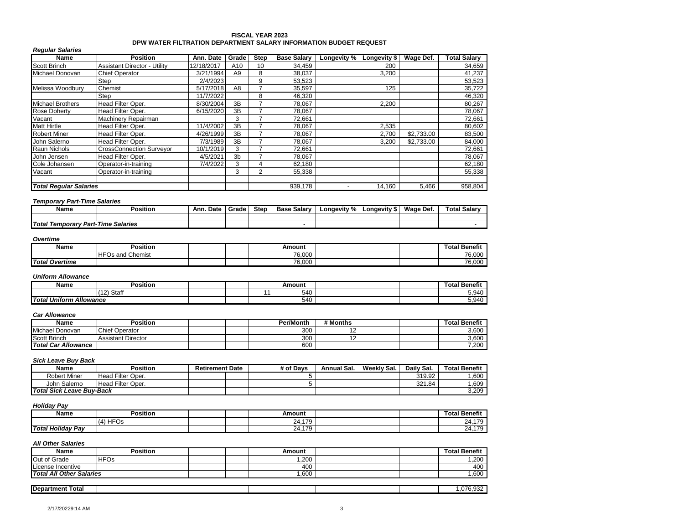#### **FISCAL YEAR 2023 DPW WATER FILTRATION DEPARTMENT SALARY INFORMATION BUDGET REQUEST**

| <b>Regular Salaries</b>       |                                     |            |                |                |                    |             |              |            |                     |
|-------------------------------|-------------------------------------|------------|----------------|----------------|--------------------|-------------|--------------|------------|---------------------|
| Name                          | <b>Position</b>                     | Ann. Date  | Grade          | <b>Step</b>    | <b>Base Salary</b> | Longevity % | Longevity \$ | Wage Def.  | <b>Total Salary</b> |
| <b>Scott Brinch</b>           | <b>Assistant Director - Utility</b> | 12/18/2017 | A10            | 10             | 34,459             |             | 200          |            | 34,659              |
| Michael Donovan               | <b>Chief Operator</b>               | 3/21/1994  | A9             | 8              | 38,037             |             | 3,200        |            | 41,237              |
|                               | Step                                | 2/4/2023   |                | 9              | 53,523             |             |              |            | 53,523              |
| Melissa Woodbury              | Chemist                             | 5/17/2018  | A8             |                | 35,597             |             | 125          |            | 35,722              |
|                               | Step                                | 11/7/2022  |                | 8              | 46,320             |             |              |            | 46,320              |
| <b>Michael Brothers</b>       | Head Filter Oper.                   | 8/30/2004  | 3B             |                | 78,067             |             | 2,200        |            | 80,267              |
| <b>Rose Doherty</b>           | Head Filter Oper.                   | 6/15/2020  | 3B             | -              | 78,067             |             |              |            | 78,067              |
| Vacant                        | Machinery Repairman                 |            | 3              |                | 72,661             |             |              |            | 72,661              |
| <b>Matt Hirtle</b>            | Head Filter Oper.                   | 11/4/2002  | 3B             | -              | 78,067             |             | 2,535        |            | 80,602              |
| <b>Robert Miner</b>           | Head Filter Oper.                   | 4/26/1999  | 3B             |                | 78,067             |             | 2,700        | \$2.733.00 | 83,500              |
| John Salerno                  | Head Filter Oper.                   | 7/3/1989   | 3B             |                | 78,067             |             | 3,200        | \$2.733.00 | 84,000              |
| <b>Raun Nichols</b>           | <b>CrossConnection Surveyor</b>     | 10/1/2019  | 3              |                | 72,661             |             |              |            | 72,661              |
| John Jensen                   | Head Filter Oper.                   | 4/5/2021   | 3 <sub>b</sub> |                | 78,067             |             |              |            | 78,067              |
| Cole Johansen                 | Operator-in-training                | 7/4/2022   | 3              | 4              | 62,180             |             |              |            | 62,180              |
| Vacant                        | Operator-in-training                |            | 3              | $\overline{2}$ | 55,338             |             |              |            | 55,338              |
|                               |                                     |            |                |                |                    |             |              |            |                     |
| <b>Total Regular Salaries</b> |                                     |            |                |                | 939,178            | -           | 14,160       | 5,466      | 958.804             |

#### *Temporary Part-Time Salaries*

|          | Name            | Position                  | Date<br>Ann. | Grade | Step | ⊦Salarv<br>Base | . %<br>∟onaevitv | ∟ongevity<br>- 39 | Wage Def. | <b>Total Salary</b> |
|----------|-----------------|---------------------------|--------------|-------|------|-----------------|------------------|-------------------|-----------|---------------------|
|          |                 |                           |              |       |      |                 |                  |                   |           |                     |
| Total To | Temporary Part- | <b>Salaries</b><br>Time . |              |       |      |                 |                  |                   |           |                     |

#### *Overtime*

| Name                  | <b>Position</b>                               |  | Amount |  | $-$<br>™otal<br>Benefit |
|-----------------------|-----------------------------------------------|--|--------|--|-------------------------|
|                       | <b>HFO</b><br>Chemist <sup>-</sup><br>FOs and |  | 76.000 |  | 76,000                  |
| <b>Total Overtime</b> |                                               |  | 76,000 |  | 76,000                  |

#### *Uniform Allowance*

| Name                    | Position                    |  | Amount |  | $\overline{\phantom{a}}$<br>Benefit<br>otal |
|-------------------------|-----------------------------|--|--------|--|---------------------------------------------|
|                         | Staff<br>(40)<br>,,<br>$-1$ |  | 540    |  | 5.940                                       |
| Total Uniform Allowance |                             |  | 540    |  | 5,940                                       |

#### *Car Allowance*

| Name                | Position              |  | <b>Per/Month</b> | # Months |  | <b>Total Benefit</b> |
|---------------------|-----------------------|--|------------------|----------|--|----------------------|
| Michael Donovan     | <b>Chief Operator</b> |  | 300              |          |  | 3,600                |
| Scott Brinch        | Assistant Director    |  | 300              |          |  | 3,600                |
| Total Car Allowance |                       |  | 600              |          |  | 7,200                |

### *Sick Leave Buy Back*

| Name                             | <b>Position</b>   | <b>Retirement Date</b> |  | # of Davs | Annual Sal. | Weekly Sal. | Daily Sal. | <b>Total Benefit</b> |
|----------------------------------|-------------------|------------------------|--|-----------|-------------|-------------|------------|----------------------|
| <b>Robert Miner</b>              | Head Filter Oper. |                        |  |           |             |             | 319.92     | ,600                 |
| John Salerno                     | Head Filter Oper. |                        |  |           |             |             | 321.84     | .609                 |
| <b>Total Sick Leave Buv-Back</b> |                   |                        |  |           |             |             |            | 3,209                |

## *Holiday Pay*

| Name              | .<br>Position                             |  | Amount             |  | <b>Total Benefit</b>               |
|-------------------|-------------------------------------------|--|--------------------|--|------------------------------------|
|                   | م ۱۳۰<br>$\cdots$<br>$\overline{A}$<br>U. |  | 179<br>24,1<br>.   |  | $1 - 2$<br>$\sim$<br><b>47.119</b> |
| Total Holiday Pay |                                           |  | 170<br>24.1<br>. . |  | $1 - 0$<br><b>24.179</b>           |

| <b>Name</b>                     | <b>Position</b> |  | Amount |  | <b>Total Benefit</b> |
|---------------------------------|-----------------|--|--------|--|----------------------|
| Out of Grade                    | <b>HFOs</b>     |  | ,200   |  | ,200                 |
| License Incentive               |                 |  | 400    |  | 400                  |
| <b>Total All Other Salaries</b> |                 |  | ,600   |  | ,600                 |
|                                 |                 |  |        |  |                      |
| <b>Department Total</b>         |                 |  |        |  | .076.932             |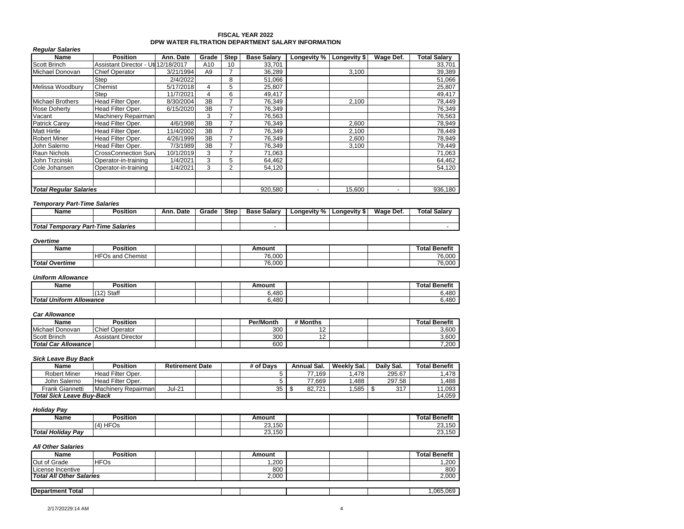### **FISCAL YEAR 2022 DPW WATER FILTRATION DEPARTMENT SALARY INFORMATION**

| <b>Regular Salaries</b>       |                                     |           |                |             |                    |                          |              |                          |              |
|-------------------------------|-------------------------------------|-----------|----------------|-------------|--------------------|--------------------------|--------------|--------------------------|--------------|
| Name                          | <b>Position</b>                     | Ann. Date | Grade          | <b>Step</b> | <b>Base Salarv</b> | Longevity %              | Longevity \$ | Wage Def.                | Total Salary |
| Scott Brinch                  | Assistant Director - Uti 12/18/2017 |           | A10            | 10          | 33,701             |                          |              |                          | 33,701       |
| Michael Donovan               | <b>Chief Operator</b>               | 3/21/1994 | A <sub>9</sub> |             | 36,289             |                          | 3,100        |                          | 39,389       |
|                               | Step                                | 2/4/2022  |                | 8           | 51,066             |                          |              |                          | 51,066       |
| Melissa Woodbury              | Chemist                             | 5/17/2018 | 4              | 5           | 25,807             |                          |              |                          | 25,807       |
|                               | Step                                | 11/7/2021 | 4              | 6           | 49,417             |                          |              |                          | 49,417       |
| <b>Michael Brothers</b>       | Head Filter Oper.                   | 8/30/2004 | 3B             |             | 76,349             |                          | 2.100        |                          | 78,449       |
| <b>Rose Doherty</b>           | Head Filter Oper.                   | 6/15/2020 | 3B             |             | 76,349             |                          |              |                          | 76,349       |
| Vacant                        | Machinery Repairman                 |           | 3              |             | 76,563             |                          |              |                          | 76,563       |
| <b>Patrick Carey</b>          | Head Filter Oper.                   | 4/6/1998  | 3B             |             | 76,349             |                          | 2,600        |                          | 78,949       |
| <b>Matt Hirtle</b>            | Head Filter Oper.                   | 11/4/2002 | 3B             |             | 76,349             |                          | 2,100        |                          | 78,449       |
| <b>Robert Miner</b>           | Head Filter Oper.                   | 4/26/1999 | 3B             |             | 76,349             |                          | 2,600        |                          | 78,949       |
| John Salerno                  | Head Filter Oper.                   | 7/3/1989  | 3B             |             | 76,349             |                          | 3,100        |                          | 79,449       |
| Raun Nichols                  | <b>CrossConnection Surv</b>         | 10/1/2019 | 3              |             | 71,063             |                          |              |                          | 71,063       |
| John Trzcinski                | Operator-in-training                | 1/4/2021  | 3              | 5           | 64,462             |                          |              |                          | 64,462       |
| Cole Johansen                 | Operator-in-training                | 1/4/2021  | 3              | 2           | 54,120             |                          |              |                          | 54,120       |
|                               |                                     |           |                |             |                    |                          |              |                          |              |
| <b>Total Regular Salaries</b> |                                     |           |                |             | 920.580            | $\overline{\phantom{a}}$ | 15.600       | $\overline{\phantom{a}}$ | 936,180      |

### *Temporary Part-Time Salaries*

| Name                                    | <b>Position</b> | Ann. Date | Grade | <b>Step</b> | <b>Base Salary</b> | Longevity % | ∟ongevity ⊁<br>D. | Wage<br>Def. | <b>Total Salar</b> |
|-----------------------------------------|-----------------|-----------|-------|-------------|--------------------|-------------|-------------------|--------------|--------------------|
|                                         |                 |           |       |             |                    |             |                   |              |                    |
| Total T<br>Temporary Part-Time Salaries |                 |           |       |             |                    |             |                   |              |                    |

### *Overtime*

| Name                  | $\cdots$<br>Position              |  | Amount |  | Total Benefit |
|-----------------------|-----------------------------------|--|--------|--|---------------|
|                       | <b>HFC</b><br>l Chemist<br>Os and |  | 76.000 |  | 76,000        |
| <b>Total Overtime</b> |                                   |  | 76.000 |  | 76.000        |

#### *Uniform Allowance*

| Name                                           | $\cdots$<br>Position |  | Amount |  | 'otal Benefit |
|------------------------------------------------|----------------------|--|--------|--|---------------|
|                                                | Staff<br>▗           |  | 6,480  |  | 6,480         |
| <b>Total Ur</b><br>Uniform<br><b>Allowance</b> |                      |  | 6.480  |  | 6.480         |

#### *Car Allowance*

| Name                       | Position              |  | Per/Month | # Months   |  | <b>Total Benefit</b> |
|----------------------------|-----------------------|--|-----------|------------|--|----------------------|
| Michael Donovan            | <b>Chief Operator</b> |  | 300       | ╺          |  | 3,600                |
| <b>Scott Brinch</b>        | Assistant Director    |  | 300       | . <u>.</u> |  | 3,600                |
| <b>Total Car Allowance</b> |                       |  | 600       |            |  | 7,200                |

#### *Sick Leave Buy Back*

| Name                      | Position            | <b>Retirement Date</b> |  | # of Davs | Annual Sal. | Weekly Sal. | Daily Sal. | <b>Total Benefit</b> |
|---------------------------|---------------------|------------------------|--|-----------|-------------|-------------|------------|----------------------|
| <b>Robert Miner</b>       | Head Filter Oper.   |                        |  |           | 77.169      | .478        | 295.67     | 478. ا               |
| John Salerno              | Head Filter Oper.   |                        |  |           | 77.669      | .488        | 297.58     | .488                 |
| Frank Giannetti           | Machinery Repairman | Jul-21                 |  | つよ        | 82.721      | .585        | 317        | 11,093               |
| Total Sick Leave Buv-Back |                     |                        |  |           |             |             |            | 14.059               |

### *Holiday Pay*

| Name                     | Position          |  | Amount                  |  | lotal<br>Benefit               |
|--------------------------|-------------------|--|-------------------------|--|--------------------------------|
|                          | <b>HFC</b><br>(4) |  | 100<br>$\sim$<br>23,150 |  | $\sim$<br>$1 - 2$<br>$-0, 100$ |
| <b>Total Holidav Pav</b> |                   |  | 0010<br>23.150          |  | 00150<br>ا د ب<br>טשו          |

| Name                            | <b>Position</b> |  | Amount |  | <b>Total Benefit</b> |
|---------------------------------|-----------------|--|--------|--|----------------------|
| Out of Grade                    | <b>HFOs</b>     |  | ,200   |  | 1,200                |
| License Incentive               |                 |  | 800    |  | 800                  |
| <b>Total All Other Salaries</b> |                 |  | 2,000  |  | 2,000                |
|                                 |                 |  |        |  |                      |
| <b>Department Total</b>         |                 |  |        |  | .065.069             |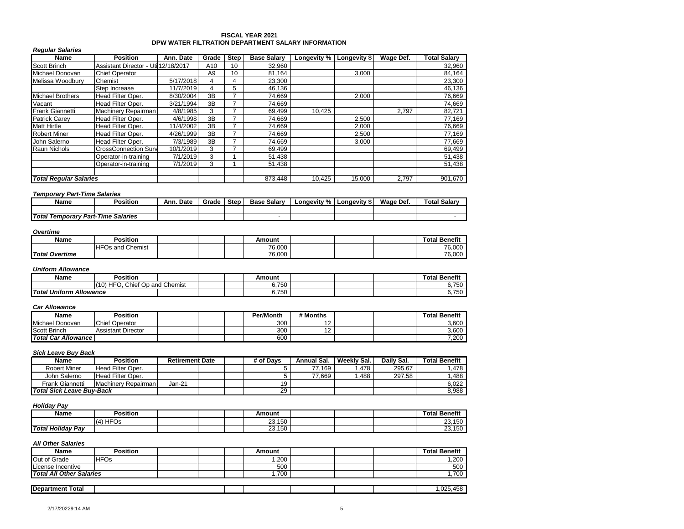### **FISCAL YEAR 2021 DPW WATER FILTRATION DEPARTMENT SALARY INFORMATION**

| <b>Regular Salaries</b>       |                                     |           |                |      |                    |             |              |           |                     |
|-------------------------------|-------------------------------------|-----------|----------------|------|--------------------|-------------|--------------|-----------|---------------------|
| Name                          | <b>Position</b>                     | Ann. Date | Grade          | Step | <b>Base Salarv</b> | Longevity % | Longevity \$ | Wage Def. | <b>Total Salarv</b> |
| Scott Brinch                  | Assistant Director - Uti 12/18/2017 |           | A10            | 10   | 32,960             |             |              |           | 32,960              |
| Michael Donovan               | <b>Chief Operator</b>               |           | A <sub>9</sub> | 10   | 81,164             |             | 3,000        |           | 84,164              |
| Melissa Woodbury              | Chemist                             | 5/17/2018 | 4              | 4    | 23,300             |             |              |           | 23,300              |
|                               | Step Increase                       | 11/7/2019 | 4              | 5    | 46,136             |             |              |           | 46,136              |
| <b>Michael Brothers</b>       | Head Filter Oper.                   | 8/30/2004 | 3B             |      | 74,669             |             | 2,000        |           | 76,669              |
| Vacant                        | Head Filter Oper.                   | 3/21/1994 | 3B             |      | 74.669             |             |              |           | 74.669              |
| <b>Frank Giannetti</b>        | Machinery Repairman                 | 4/8/1985  | 3              |      | 69,499             | 10,425      |              | 2,797     | 82,721              |
| <b>Patrick Carev</b>          | Head Filter Oper.                   | 4/6/1998  | 3B             |      | 74,669             |             | 2,500        |           | 77,169              |
| <b>Matt Hirtle</b>            | Head Filter Oper.                   | 11/4/2002 | 3B             |      | 74,669             |             | 2,000        |           | 76,669              |
| <b>Robert Miner</b>           | Head Filter Oper.                   | 4/26/1999 | 3B             | 7    | 74.669             |             | 2,500        |           | 77,169              |
| John Salerno                  | Head Filter Oper.                   | 7/3/1989  | 3B             |      | 74,669             |             | 3,000        |           | 77,669              |
| Raun Nichols                  | <b>CrossConnection Surv</b>         | 10/1/2019 | 3              |      | 69,499             |             |              |           | 69,499              |
|                               | Operator-in-training                | 7/1/2019  | 3              |      | 51,438             |             |              |           | 51,438              |
|                               | Operator-in-training                | 7/1/2019  | 3              |      | 51,438             |             |              |           | 51,438              |
| <b>Total Regular Salaries</b> |                                     |           |                |      | 873,448            | 10.425      | 15,000       | 2,797     | 901,670             |

#### *Temporary Part-Time Salaries*

| Name                               | <b>Position</b> | Date<br>Ann. | Grade | <b>Step</b> | <b>Base Salary</b> | Longevity % | <b>Longevity \$</b> | Wage Def. | <b>Total Salary</b> |
|------------------------------------|-----------------|--------------|-------|-------------|--------------------|-------------|---------------------|-----------|---------------------|
|                                    |                 |              |       |             |                    |             |                     |           |                     |
| Total Temporary Part-Time Salaries |                 |              |       |             |                    |             |                     |           |                     |

#### *Overtime*

| Name                  | <b>Position</b>                                          |  | Amount |  | $\overline{\phantom{a}}$<br>Total <sup>r</sup><br><b>Benefit</b> |
|-----------------------|----------------------------------------------------------|--|--------|--|------------------------------------------------------------------|
|                       | $I$ HF <sup><math>\sim</math></sup><br>Chemist<br>Os and |  | 76.000 |  | 76,000                                                           |
| <b>Total Overtime</b> |                                                          |  | 76.000 |  | 76,000                                                           |

#### *Uniform Allowance*

| Name                                                                                    | $\cdots$<br>Position |  |  | Amount              |  | $\sim$<br>`otal<br>' Benefit |
|-----------------------------------------------------------------------------------------|----------------------|--|--|---------------------|--|------------------------------|
| , HF $\epsilon$<br>$\sim$<br>nd Chemist<br>110<br>.hief<br>and<br>١n<br>. IU<br>◡◡<br>∼ |                      |  |  | 6 750<br>טש ו<br>◡. |  | 6,750                        |
| <b>Total Uniform</b><br>. Allowance                                                     |                      |  |  | R 750<br>טש ו<br>υ. |  | 6.750                        |

### *Car Allowance*

| Name                | <b>Position</b>           |  | Per/Month | # Months |  | <b>Total Benefit</b> |
|---------------------|---------------------------|--|-----------|----------|--|----------------------|
| Michael Donovan     | <b>Chief Operator</b>     |  | 300       |          |  | 3,600                |
| <b>Scott Brinch</b> | <b>Assistant Director</b> |  | 300       |          |  | 3,600                |
| Total Car Allowance |                           |  | 600       |          |  | 7,200                |

## *Sick Leave Buy Back*

| Name                             | Position                 | <b>Retirement Date</b> |  | # of Davs | Annual Sal. | Weekly Sal. | Daily Sal. | <b>Total Benefit</b> |
|----------------------------------|--------------------------|------------------------|--|-----------|-------------|-------------|------------|----------------------|
| <b>Robert Miner</b>              | Head Filter Oper.        |                        |  |           | 77.169      | .478        | 295.67     | .478                 |
| John Salerno                     | <b>Head Filter Oper.</b> |                        |  |           | 77.669      | .488        | 297.58     | .488                 |
| Frank Giannetti                  | Machinery Repairman      | Jan-21                 |  | 19        |             |             |            | 6,022                |
| <b>Total Sick Leave Buv-Back</b> |                          |                        |  | 29        |             |             |            | 8,988                |

# *Holiday Pay*

| Name              | Position   |  | Amount           |  | <b>Total Benefit</b> |
|-------------------|------------|--|------------------|--|----------------------|
|                   | HFOs<br>14 |  | 23,150           |  | 23,150               |
| Total Holiday Pay |            |  | 23,150<br>$\sim$ |  | 23,150               |

| Name                            | Position    |  | Amount |  | <b>Total Benefit</b> |
|---------------------------------|-------------|--|--------|--|----------------------|
| Out of Grade                    | <b>HFOs</b> |  | .200   |  | 1.200                |
| License Incentive               |             |  | 500    |  | 500                  |
| <b>Total All Other Salaries</b> |             |  | .700   |  | .700                 |
|                                 |             |  |        |  |                      |
| <b>Department Total</b>         |             |  |        |  | ,025,458             |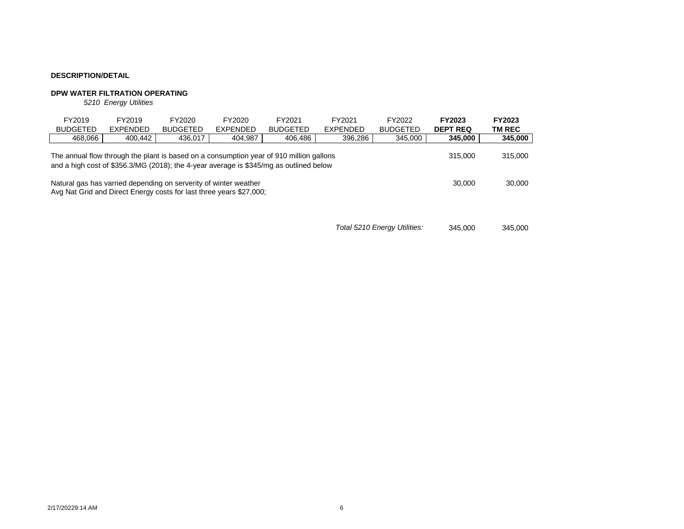# **DPW WATER FILTRATION OPERATING**

*5210 Energy Utilities*

| FY2019<br><b>BUDGETED</b>                                                                                                                                                                                                                           | FY2019<br><b>EXPENDED</b> | <b>FY2023</b><br><b>DEPT REQ</b> | FY2023<br><b>TM REC</b> |  |  |  |  |  |  |
|-----------------------------------------------------------------------------------------------------------------------------------------------------------------------------------------------------------------------------------------------------|---------------------------|----------------------------------|-------------------------|--|--|--|--|--|--|
| 468,066                                                                                                                                                                                                                                             | 400.442                   | 345,000                          | 345,000                 |  |  |  |  |  |  |
| 436,017<br>404,987<br>406,486<br>396,286<br>345,000<br>The annual flow through the plant is based on a consumption year of 910 million gallons<br>315,000<br>and a high cost of \$356.3/MG (2018); the 4-year average is \$345/mg as outlined below |                           |                                  |                         |  |  |  |  |  |  |
| Natural gas has varried depending on serverity of winter weather<br>30,000<br>Avg Nat Grid and Direct Energy costs for last three years \$27,000;                                                                                                   |                           |                                  |                         |  |  |  |  |  |  |

*Total 5210 Energy Utilities:* 345,000 345,000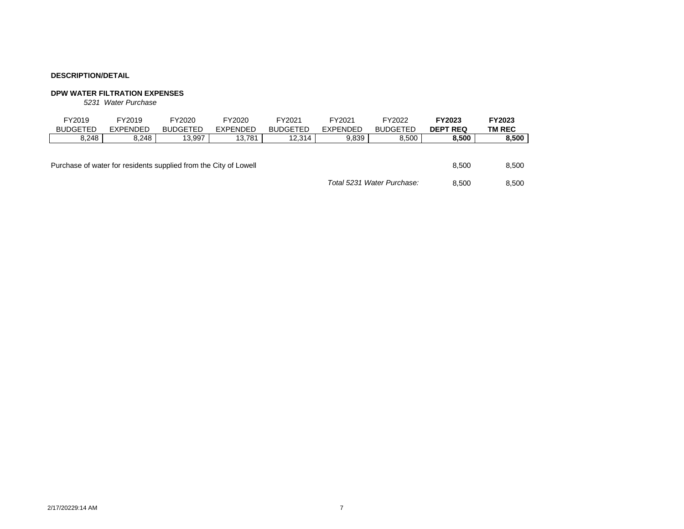# **DPW WATER FILTRATION EXPENSES**

*5231 Water Purchase*

| FY2019<br><b>BUDGETED</b>                                        | FY2019<br><b>EXPENDED</b> | FY2020<br><b>BUDGETED</b> | FY2020<br><b>EXPENDED</b> | FY2021<br><b>BUDGETED</b> | FY2021<br><b>EXPENDED</b> | FY2022<br><b>BUDGETED</b>  | FY2023<br><b>DEPT REQ</b> | FY2023<br>TM REC |
|------------------------------------------------------------------|---------------------------|---------------------------|---------------------------|---------------------------|---------------------------|----------------------------|---------------------------|------------------|
| 8,248                                                            | 8.248                     | 13,997                    | 13.781                    | 12.314                    | 9,839                     | 8,500                      | 8,500                     | 8,500            |
| Purchase of water for residents supplied from the City of Lowell |                           |                           |                           |                           |                           |                            | 8.500                     | 8,500            |
|                                                                  |                           |                           |                           |                           |                           | Total 5231 Water Purchase: | 8.500                     | 8,500            |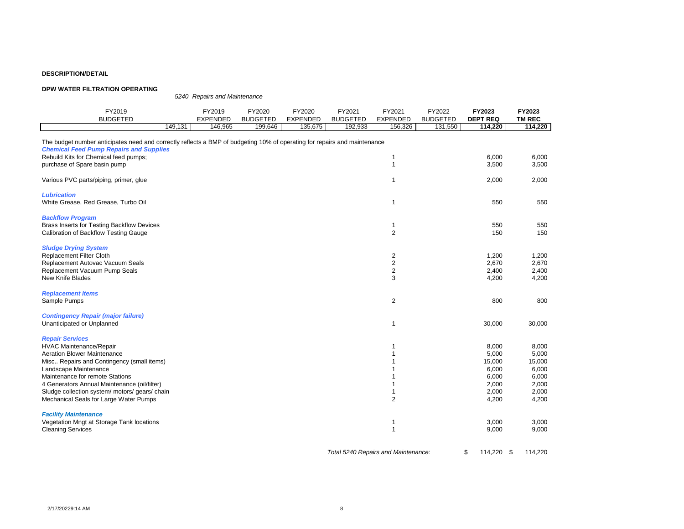#### **DPW WATER FILTRATION OPERATING**

*5240 Repairs and Maintenance* FY2019 FY2019 FY2020 FY2020 FY2021 FY2021 FY2022 **FY2023 FY2023** BUDGETED EXPENDED BUDGETED EXPENDED BUDGETED EXPENDED BUDGETED **DEPT REQ TM REC** 149,131 | 146,965 | 199,646 | 135,675 | 192,933 | 156,326 | 131,550 | **114,220** | **114,220** The budget number anticipates need and correctly reflects a BMP of budgeting 10% of operating for repairs and maintenance *Chemical Feed Pump Repairs and Supplies* Rebuild Kits for Chemical feed pumps; 6,000 6,000 6,000 6,000 6,000 6,000 6,000 6,000 6,000 6,000 6,000 6,000 6,000 6,000 6,000 6,000 6,000 6,000 6,000 6,000 6,000 6,000 6,000 6,000 6,000 6,000 6,000 6,000 6,000 6,000 6,00 purchase of Spare basin pump 1 3,500 3,500 3,500 3,500 3,500 3,500 3,500 3,500 3,500 3,500 3,500 3,500 3,500 3,500 3,500 3,500 3,500 3,500 3,500 3,500 3,500 3,500 3,500 3,500 3,500 3,500 3,500 3,500 3,500 3,500 3,500 3,500 Various PVC parts/piping, primer, glue 2,000 2,000 2,000 2,000 2,000 2,000 2,000 2,000 2,000 2,000 2,000 2,000 *Lubrication* White Grease, Red Grease, Turbo Oil 1 550 550 *Backflow Program* Brass Inserts for Testing Backflow Devices 650 to the state of the state of the state of the state of the state of the state of the state of the state of the state of the state of the state of the state of the state of the Calibration of Backflow Testing Gauge 2 150 150 *Sludge Drying System* Replacement Filter Cloth 1,200 1,200 1,200 1,200 1,200 1,200 1,200 1,200 1,200 1,200 1,200 1,200 1,200 1,200 1,200 1,200 1,200 1,200 1,200 1,200 1,200 1,200 1,200 1,200 1,200 1,200 1,200 1,200 1,200 1,200 1,200 1,200 1,200 Replacement Autovac Vacuum Seals 2 2,670 2,670 Replacement Vacuum Pump Seals New Knife Blades 3 4,200 4,200 *Replacement Items* Sample Pumps 2 800 800 *Contingency Repair (major failure)* Unanticipated or Unplanned 30,000 30,000 30,000 30,000 30,000 30,000 30,000 30,000 30,000 30,000 30,000 30,000 *Repair Services* HVAC Maintenance/Repair 8,000 8,000 8,000 8,000 8,000 8,000 8,000 8,000 8,000 8,000 8,000 8,000 8,000 8,000 8,000 8,000 8,000 8,000 8,000 8,000 8,000 8,000 8,000 8,000 8,000 8,000 8,000 8,000 8,000 8,000 8,000 8,000 8,000 Aeration Blower Maintenance 6,000 5,000 5,000 5,000 5,000 5,000 5,000 5,000 5,000 5,000 5,000 5,000 5,000 5,000<br>Misc.. Repairs and Contingency (small items) Misc.. Repairs and Contingency (small items) 1 15,000 15,000 Landscape Maintenance 6,000 6,000 6,000 6,000 6,000 6,000 6,000 6,000 6,000 6,000 6,000 6,000 6,000 6,000 6,000 Maintenance for remote Stations 6,000 6,000 6,000 6,000 6,000 6,000 6,000 6,000 6,000 6,000 6,000 6,000 6,000 6,000 6,000 6,000 6,000 6,000 6,000 6,000 6,000 6,000 6,000 6,000 6,000 6,000 6,000 6,000 6,000 6,000 6,000 6,00 4 Generators Annual Maintenance (oil/filter) 3,000 and the state of the state of the state of the state of the state of the state of the state of the state of the state of the state of the state of the state of the state o Sludge collection system/ motors/ gears/ chain 1 2,000 2,000 2,000 2,000 2,000 2,000 2,000 2,000 2,000 2,000 2,000 2,000 2,000 2,000 2,000 2,000 2,000 2,000 2,000 2,000 2,000 2,000 2,000 2,000 2,000 2,000 2,000 2,000 2,000 Mechanical Seals for Large Water Pumps 2 4,200 4,200 4,200 4,200 4,200 4,200 4,200 4,200 4,200 4,200 4,200 4,200 4,200 4,200 4,200 4,200 4,200 4,200 4,200 4,200 4,200 4,200 4,200 4,200 4,200 4,200 4,200 4,200 4,200 4,200 4 *Facility Maintenance* Vegetation Mngt at Storage Tank locations 1 3,000 3,000 Cleaning Services 1 9,000 9,000

*Total 5240 Repairs and Maintenance:* \$ 114,220 \$ 114,220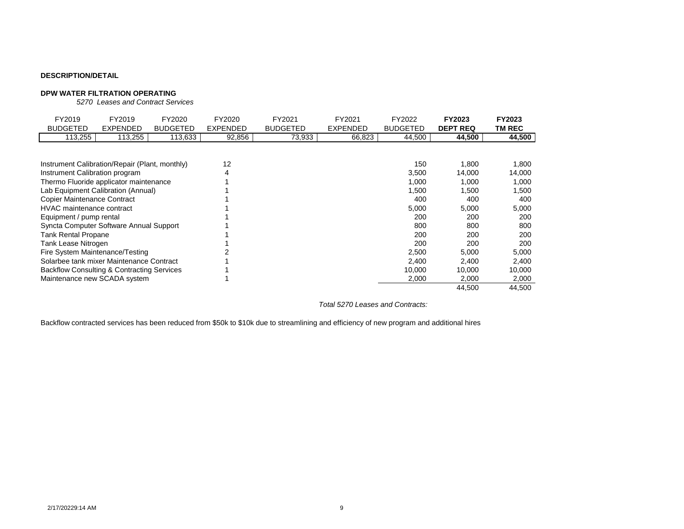## **DPW WATER FILTRATION OPERATING**

*5270 Leases and Contract Services*

| FY2019<br><b>BUDGETED</b>                                                                                                                                                                              | FY2019<br><b>EXPENDED</b> | FY2020<br><b>BUDGETED</b> | FY2020<br><b>EXPENDED</b> | FY2021<br><b>BUDGETED</b> | FY2021<br>EXPENDED | FY2022<br><b>BUDGETED</b>             | FY2023<br><b>DEPT REQ</b>                | FY2023<br>TM REC                         |
|--------------------------------------------------------------------------------------------------------------------------------------------------------------------------------------------------------|---------------------------|---------------------------|---------------------------|---------------------------|--------------------|---------------------------------------|------------------------------------------|------------------------------------------|
| 113,255                                                                                                                                                                                                | 113,255                   | 113,633                   | 92,856                    | 73,933                    | 66,823             | 44,500                                | 44,500                                   | 44,500                                   |
| Instrument Calibration/Repair (Plant, monthly)<br>Instrument Calibration program<br>Thermo Fluoride applicator maintenance<br>Lab Equipment Calibration (Annual)<br><b>Copier Maintenance Contract</b> |                           |                           | 12<br>4                   |                           |                    | 150<br>3,500<br>1,000<br>1,500<br>400 | 1,800<br>14,000<br>1,000<br>1,500<br>400 | 1,800<br>14,000<br>1,000<br>1,500<br>400 |
| HVAC maintenance contract                                                                                                                                                                              |                           |                           |                           |                           |                    | 5,000                                 | 5,000                                    | 5,000                                    |
| Equipment / pump rental                                                                                                                                                                                |                           |                           |                           |                           |                    | 200                                   | 200                                      | 200                                      |
| Syncta Computer Software Annual Support                                                                                                                                                                |                           |                           |                           |                           |                    | 800                                   | 800                                      | 800                                      |
| <b>Tank Rental Propane</b>                                                                                                                                                                             |                           |                           |                           |                           |                    | 200                                   | 200                                      | 200                                      |
| Tank Lease Nitrogen                                                                                                                                                                                    |                           |                           |                           |                           |                    | 200                                   | 200                                      | 200                                      |
| Fire System Maintenance/Testing                                                                                                                                                                        |                           |                           |                           |                           |                    | 2,500                                 | 5,000                                    | 5,000                                    |
| Solarbee tank mixer Maintenance Contract                                                                                                                                                               |                           |                           |                           |                           |                    | 2,400                                 | 2,400                                    | 2,400                                    |
| <b>Backflow Consulting &amp; Contracting Services</b>                                                                                                                                                  |                           |                           |                           |                           |                    | 10,000                                | 10,000                                   | 10,000                                   |
| Maintenance new SCADA system                                                                                                                                                                           |                           |                           |                           |                           |                    | 2,000                                 | 2,000                                    | 2,000                                    |
|                                                                                                                                                                                                        |                           |                           |                           |                           |                    |                                       | 44,500                                   | 44,500                                   |

*Total 5270 Leases and Contracts:*

Backflow contracted services has been reduced from \$50k to \$10k due to streamlining and efficiency of new program and additional hires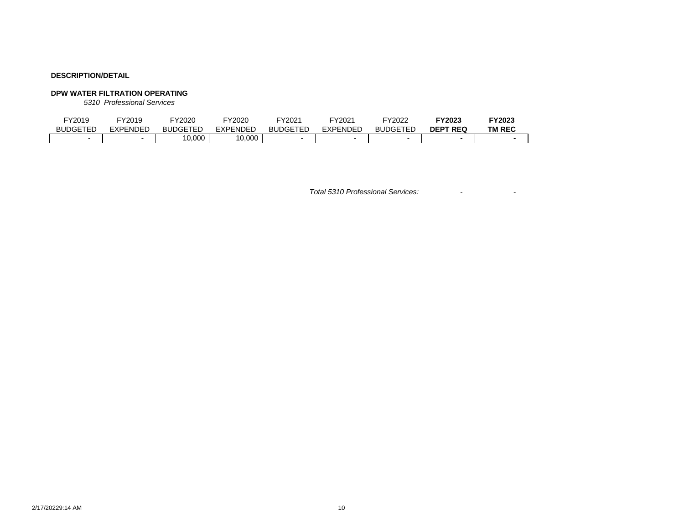# **DPW WATER FILTRATION OPERATING**

*5310 Professional Services*

| FY2019          | FY2019          | FY2020          | Y2020 <del>.</del>      | <sup>-</sup> Y2021 | <sup>-</sup> Y2021 | FY2022          | Y2023 <del>.</del>        | <b>FY2023</b> |
|-----------------|-----------------|-----------------|-------------------------|--------------------|--------------------|-----------------|---------------------------|---------------|
| <b>BUDGETED</b> | <b>EXPENDED</b> | <b>BUDGETED</b> | <b>EXPENDED</b>         | <b>BUDGETED</b>    | EXPENDED           | <b>BUDGETED</b> | <b>REC</b><br><b>DEPT</b> | <b>TM REC</b> |
|                 |                 | 10,000          | 0.000<br>$\overline{A}$ |                    |                    |                 |                           |               |

*Total 5310 Professional Services:* - -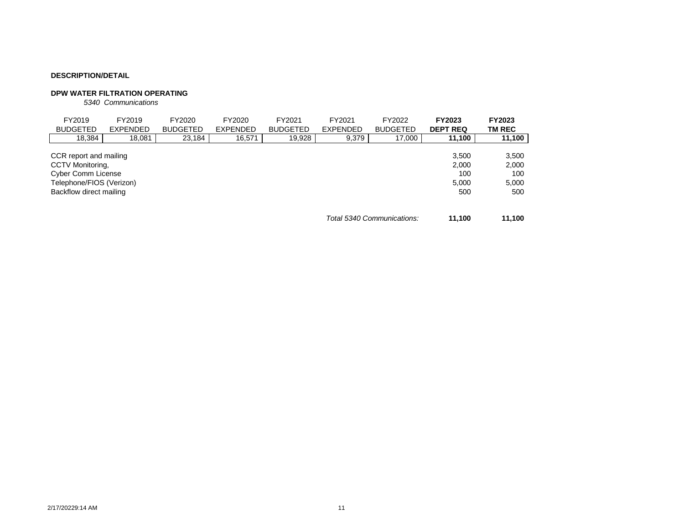# **DPW WATER FILTRATION OPERATING**

*5340 Communications*

| FY2019<br><b>BUDGETED</b>                                                                                                      | FY2019<br><b>EXPENDED</b> | FY2020<br><b>BUDGETED</b> | FY2020<br><b>EXPENDED</b> | FY2021<br><b>BUDGETED</b> | FY2021<br><b>EXPENDED</b> | FY2022<br><b>BUDGETED</b>  | FY2023<br><b>DEPT REQ</b>             | FY2023<br><b>TM REC</b>               |
|--------------------------------------------------------------------------------------------------------------------------------|---------------------------|---------------------------|---------------------------|---------------------------|---------------------------|----------------------------|---------------------------------------|---------------------------------------|
| 18,384                                                                                                                         | 18,081                    | 23,184                    | 16,571                    | 19,928                    | 9,379                     | 17,000                     | 11,100                                | 11,100                                |
| CCR report and mailing<br>CCTV Monitoring,<br><b>Cyber Comm License</b><br>Telephone/FIOS (Verizon)<br>Backflow direct mailing |                           |                           |                           |                           |                           |                            | 3.500<br>2.000<br>100<br>5.000<br>500 | 3,500<br>2,000<br>100<br>5,000<br>500 |
|                                                                                                                                |                           |                           |                           |                           |                           | Total 5340 Communications: | 11.100                                | 11.100                                |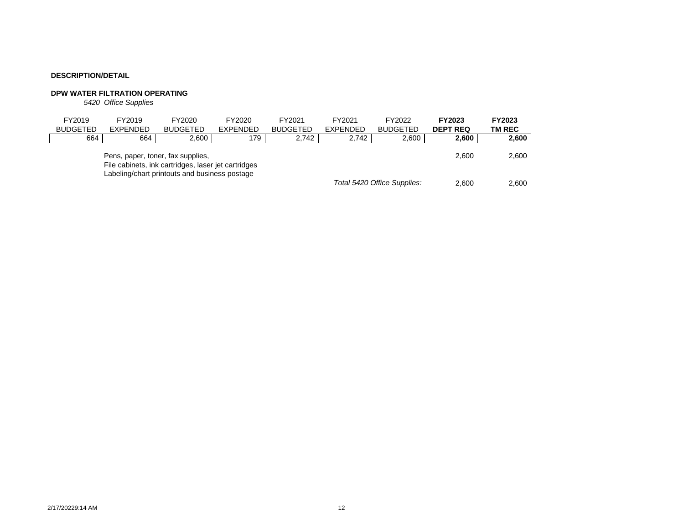# **DPW WATER FILTRATION OPERATING**

*5420 Office Supplies*

| FY2019<br><b>BUDGETED</b> | FY2019<br><b>EXPENDED</b> | FY2020<br><b>BUDGETED</b>                                                                                                                 | FY2020<br><b>EXPENDED</b> | FY2021<br><b>BUDGETED</b> | FY2021<br><b>EXPENDED</b> | FY2022<br><b>BUDGETED</b>   | <b>FY2023</b><br><b>DEPT REQ</b> | FY2023<br><b>TM REC</b> |
|---------------------------|---------------------------|-------------------------------------------------------------------------------------------------------------------------------------------|---------------------------|---------------------------|---------------------------|-----------------------------|----------------------------------|-------------------------|
| 664                       | 664                       | 2.600                                                                                                                                     | 179                       | 2.742                     | 2.742                     | 2,600                       | 2,600                            | 2,600                   |
|                           |                           | Pens, paper, toner, fax supplies,<br>File cabinets, ink cartridges, laser jet cartridges<br>Labeling/chart printouts and business postage |                           |                           |                           |                             | 2.600                            | 2,600                   |
|                           |                           |                                                                                                                                           |                           |                           |                           | Total 5420 Office Supplies: | 2.600                            | 2.600                   |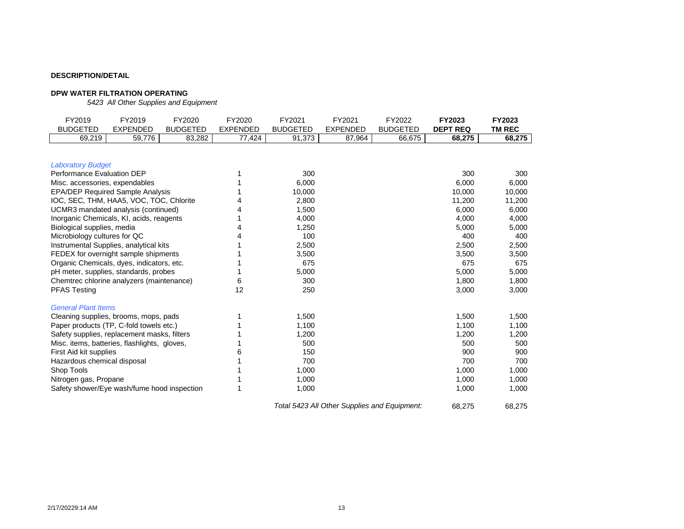# **DPW WATER FILTRATION OPERATING**

*5423 All Other Supplies and Equipment*

| FY2019                                       | FY2019          | FY2020          | FY2020          | FY2021          | FY2021          | FY2022          | FY2023          | FY2023        |
|----------------------------------------------|-----------------|-----------------|-----------------|-----------------|-----------------|-----------------|-----------------|---------------|
| <b>BUDGETED</b>                              | <b>EXPENDED</b> | <b>BUDGETED</b> | <b>EXPENDED</b> | <b>BUDGETED</b> | <b>EXPENDED</b> | <b>BUDGETED</b> | <b>DEPT REQ</b> | <b>TM REC</b> |
| 69,219                                       | 59,776          | 83,282          | 77,424          | 91,373          | 87,964          | 66,675          | 68,275          | 68,275        |
|                                              |                 |                 |                 |                 |                 |                 |                 |               |
| <b>Laboratory Budget</b>                     |                 |                 |                 |                 |                 |                 |                 |               |
| Performance Evaluation DEP                   |                 |                 |                 | 300             |                 |                 | 300             | 300           |
| Misc. accessories, expendables               |                 |                 |                 | 6,000           |                 |                 | 6,000           | 6,000         |
| <b>EPA/DEP Required Sample Analysis</b>      |                 |                 |                 | 10,000          |                 |                 | 10,000          | 10,000        |
| IOC, SEC, THM, HAA5, VOC, TOC, Chlorite      |                 |                 |                 | 2,800           |                 |                 | 11,200          | 11,200        |
| UCMR3 mandated analysis (continued)          |                 |                 |                 | 1,500           |                 |                 | 6,000           | 6,000         |
| Inorganic Chemicals, KI, acids, reagents     |                 |                 |                 | 4,000           |                 |                 | 4,000           | 4,000         |
| Biological supplies, media                   |                 |                 |                 | 1,250           |                 |                 | 5,000           | 5,000         |
| Microbiology cultures for QC                 |                 |                 |                 | 100             |                 |                 | 400             | 400           |
| Instrumental Supplies, analytical kits       |                 |                 |                 | 2,500           |                 |                 | 2,500           | 2,500         |
| FEDEX for overnight sample shipments         |                 |                 |                 | 3,500           |                 |                 | 3,500           | 3,500         |
| Organic Chemicals, dyes, indicators, etc.    |                 |                 |                 | 675             |                 |                 | 675             | 675           |
| pH meter, supplies, standards, probes        |                 |                 |                 | 5,000           |                 |                 | 5,000           | 5,000         |
| Chemtrec chlorine analyzers (maintenance)    |                 |                 | 6               | 300             |                 |                 | 1,800           | 1,800         |
| <b>PFAS Testing</b>                          |                 |                 | 12              | 250             |                 |                 | 3,000           | 3,000         |
| <b>General Plant Items</b>                   |                 |                 |                 |                 |                 |                 |                 |               |
| Cleaning supplies, brooms, mops, pads        |                 |                 |                 | 1,500           |                 |                 | 1,500           | 1,500         |
| Paper products (TP, C-fold towels etc.)      |                 |                 |                 | 1,100           |                 |                 | 1,100           | 1,100         |
| Safety supplies, replacement masks, filters  |                 |                 |                 | 1,200           |                 |                 | 1,200           | 1,200         |
| Misc. items, batteries, flashlights, gloves, |                 |                 |                 | 500             |                 |                 | 500             | 500           |
| First Aid kit supplies                       |                 |                 | 6               | 150             |                 |                 | 900             | 900           |
| Hazardous chemical disposal                  |                 |                 |                 | 700             |                 |                 | 700             | 700           |
| Shop Tools                                   |                 |                 |                 | 1,000           |                 |                 | 1,000           | 1,000         |
| Nitrogen gas, Propane                        |                 |                 |                 | 1,000           |                 |                 | 1,000           | 1,000         |
| Safety shower/Eye wash/fume hood inspection  |                 |                 |                 | 1,000           |                 |                 | 1,000           | 1,000         |
|                                              |                 |                 |                 |                 |                 |                 |                 |               |

*Total 5423 All Other Supplies and Equipment:* 68,275 68,275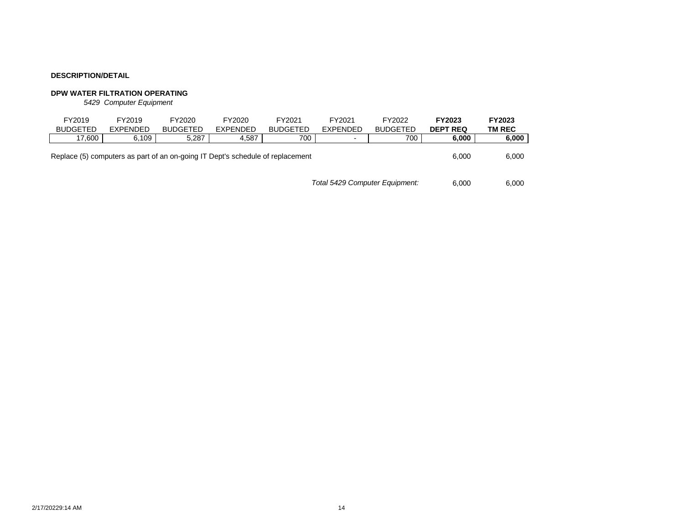# **DPW WATER FILTRATION OPERATING**

*5429 Computer Equipment*

| FY2019<br><b>BUDGETED</b>                                                      | FY2019<br><b>EXPENDED</b> | FY2020<br><b>BUDGETED</b> | FY2020<br><b>EXPENDED</b> | FY2021<br><b>BUDGETED</b> | FY2021<br><b>EXPENDED</b> | FY2022<br><b>BUDGETED</b> | FY2023<br><b>DEPT REQ</b> | FY2023<br>TM REC |
|--------------------------------------------------------------------------------|---------------------------|---------------------------|---------------------------|---------------------------|---------------------------|---------------------------|---------------------------|------------------|
| 17.600                                                                         | 6.109                     | 5.287                     | 4.587                     | 700                       | $\overline{\phantom{0}}$  | 700                       | 6.000                     | 6,000            |
| Replace (5) computers as part of an on-going IT Dept's schedule of replacement | 6.000                     | 6,000                     |                           |                           |                           |                           |                           |                  |
|                                                                                | 6.000                     | 6.000                     |                           |                           |                           |                           |                           |                  |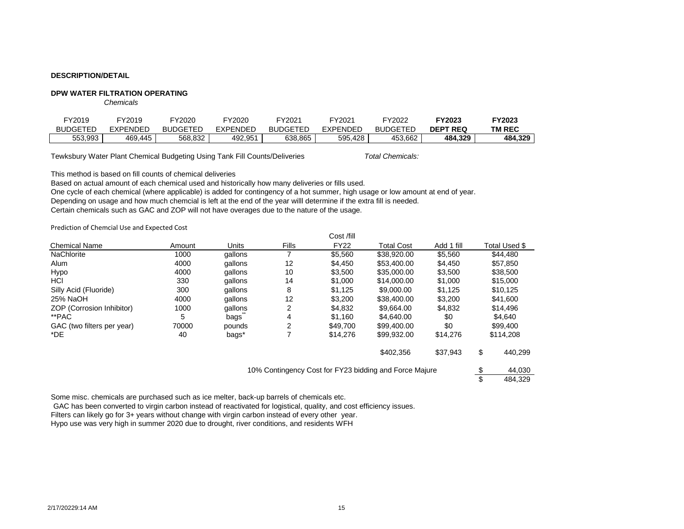### **DPW WATER FILTRATION OPERATING**

*Chemicals*

| <sup>-</sup> Y2019 | <sup>–</sup> Y2019 | FY2020          | Y2020           | $\neg$ Y2021    | FY2021          | FY2022          | FY2023          | FY2023        |
|--------------------|--------------------|-----------------|-----------------|-----------------|-----------------|-----------------|-----------------|---------------|
| <b>BUDGETED</b>    | EXPENDED           | <b>BUDGETED</b> | <b>EXPENDED</b> | <b>BUDGETED</b> | <b>EXPENDED</b> | <b>BUDGETED</b> | <b>DEPT REQ</b> | <b>TM REC</b> |
| 553,993            | 469.445            | 568,832         | 492,951         | 638.865         | 595,428         | 453,662         | 484.329         | 484,329       |

Tewksbury Water Plant Chemical Budgeting Using Tank Fill Counts/Deliveries

*Total Chemicals:*

This method is based on fill counts of chemical deliveries

Based on actual amount of each chemical used and historically how many deliveries or fills used.

One cycle of each chemical (where applicable) is added for contingency of a hot summer, high usage or low amount at end of year. Depending on usage and how much chemcial is left at the end of the year willl determine if the extra fill is needed.

Certain chemicals such as GAC and ZOP will not have overages due to the nature of the usage.

Prediction of Chemcial Use and Expected Cost

|                            |        |         |              | Cost /fill  |                                                        |            |               |
|----------------------------|--------|---------|--------------|-------------|--------------------------------------------------------|------------|---------------|
| <b>Chemical Name</b>       | Amount | Units   | <b>Fills</b> | <b>FY22</b> | <b>Total Cost</b>                                      | Add 1 fill | Total Used \$ |
| <b>NaChlorite</b>          | 1000   | gallons |              | \$5,560     | \$38,920.00                                            | \$5,560    | \$44,480      |
| Alum                       | 4000   | gallons | 12           | \$4,450     | \$53,400.00                                            | \$4,450    | \$57,850      |
| Hypo                       | 4000   | gallons | 10           | \$3,500     | \$35,000.00                                            | \$3,500    | \$38,500      |
| HCI                        | 330    | gallons | 14           | \$1,000     | \$14,000.00                                            | \$1,000    | \$15,000      |
| Silly Acid (Fluoride)      | 300    | gallons | 8            | \$1,125     | \$9,000,00                                             | \$1,125    | \$10,125      |
| 25% NaOH                   | 4000   | gallons | 12           | \$3,200     | \$38,400.00                                            | \$3,200    | \$41,600      |
| ZOP (Corrosion Inhibitor)  | 1000   | gallons | 2            | \$4,832     | \$9.664.00                                             | \$4,832    | \$14,496      |
| **PAC                      | 5      | bags    | 4            | \$1,160     | \$4,640,00                                             | \$0        | \$4,640       |
| GAC (two filters per year) | 70000  | pounds  | 2            | \$49,700    | \$99,400,00                                            | \$0        | \$99,400      |
| *DE                        | 40     | bags*   |              | \$14,276    | \$99,932.00                                            | \$14,276   | \$114,208     |
|                            |        |         |              |             | \$402,356                                              | \$37,943   | \$<br>440,299 |
|                            |        |         |              |             | 10% Contingency Cost for FY23 bidding and Force Majure |            | 44,030        |
|                            |        |         |              |             |                                                        |            | 484.329       |

Some misc. chemicals are purchased such as ice melter, back-up barrels of chemicals etc.

GAC has been converted to virgin carbon instead of reactivated for logistical, quality, and cost efficiency issues.

Filters can likely go for 3+ years without change with virgin carbon instead of every other year.

Hypo use was very high in summer 2020 due to drought, river conditions, and residents WFH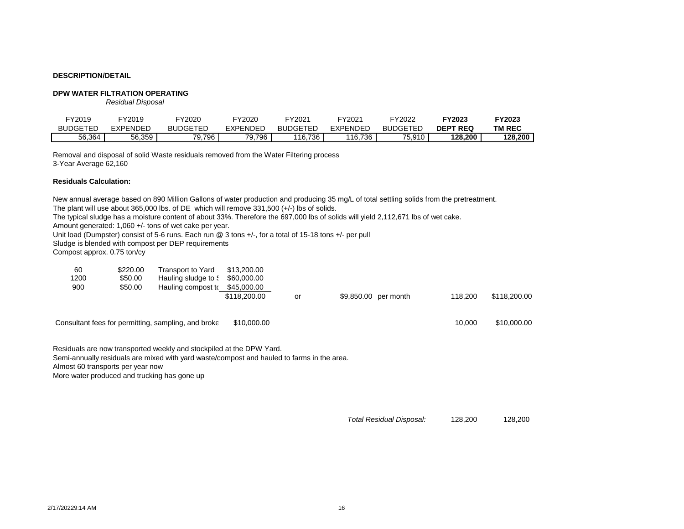### **DPW WATER FILTRATION OPERATING**

*Residual Disposal*

| FY2019          | FY2019   | FY2020          | FY2020        | <sup>-</sup> Y2021 | FY2021          | FY2022          | FY2023          | FY2023        |
|-----------------|----------|-----------------|---------------|--------------------|-----------------|-----------------|-----------------|---------------|
| <b>BUDGETED</b> | EXPENDED | <b>BUDGETED</b> | EXPENDED      | <b>BUDGETED</b>    | <b>EXPENDED</b> | <b>BUDGETED</b> | <b>DEPT REQ</b> | <b>TM REC</b> |
| 56,364          | 56,359   | 79,796          | '9,796<br>70. | 16736<br>טט, ו     | 116,736         | 75,910          | 128.200         | 128,200       |

Removal and disposal of solid Waste residuals removed from the Water Filtering process 3-Year Average 62,160

### **Residuals Calculation:**

New annual average based on 890 Million Gallons of water production and producing 35 mg/L of total settling solids from the pretreatment. The plant will use about 365,000 lbs. of DE which will remove 331,500 (+/-) lbs of solids. The typical sludge has a moisture content of about 33%. Therefore the 697,000 lbs of solids will yield 2,112,671 lbs of wet cake. Amount generated: 1,060 +/- tons of wet cake per year. Unit load (Dumpster) consist of 5-6 runs. Each run @ 3 tons +/-, for a total of 15-18 tons +/- per pull Sludge is blended with compost per DEP requirements Compost approx. 0.75 ton/cy 60 \$220.00 Transport to Yard \$13,200.00 1200 \$50.00 Hauling sludge to \$60,000.00 900 \$50.00 Hauling compost to \$45,000.00 \$118,200.00 or \$9,850.00 per month 118,200 \$118,200.00 Consultant fees for permitting, sampling, and broke \$10,000.00 1000 1000 10,000 10,000 10,000.00 Residuals are now transported weekly and stockpiled at the DPW Yard. Semi-annually residuals are mixed with yard waste/compost and hauled to farms in the area.

Almost 60 transports per year now

More water produced and trucking has gone up

*Total Residual Disposal:* 128,200 128,200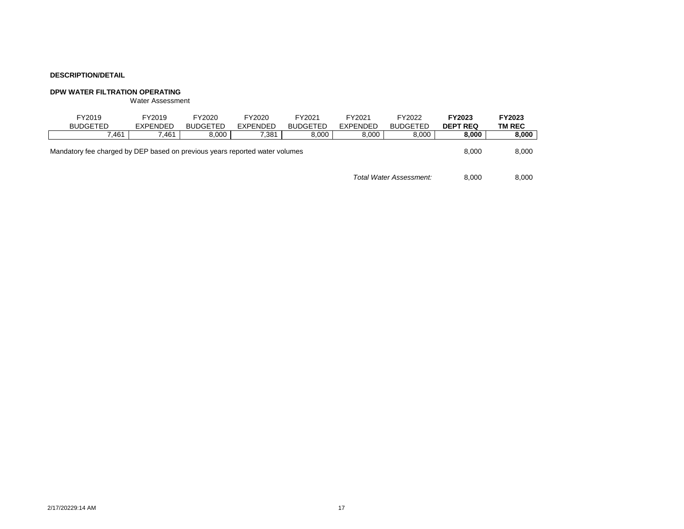# **DPW WATER FILTRATION OPERATING**

Water Assessment

| FY2019<br><b>BUDGETED</b>                                                   | FY2019<br><b>EXPENDED</b> | FY2020<br><b>BUDGETED</b> | FY2020<br>EXPENDED | FY2021<br><b>BUDGETED</b> | FY2021<br><b>EXPENDED</b> | FY2022<br><b>BUDGETED</b> | FY2023<br><b>DEPT REQ</b> | FY2023<br><b>TM REC</b> |
|-----------------------------------------------------------------------------|---------------------------|---------------------------|--------------------|---------------------------|---------------------------|---------------------------|---------------------------|-------------------------|
| 7.461                                                                       | 461.'                     | 8,000                     | 7,381              | 8.000                     | 8,000                     | 8,000                     | 8,000                     | 8,000                   |
| Mandatory fee charged by DEP based on previous years reported water volumes | 8.000                     | 8,000                     |                    |                           |                           |                           |                           |                         |
|                                                                             |                           |                           |                    |                           |                           | Total Water Assessment:   | 8.000                     | 8.000                   |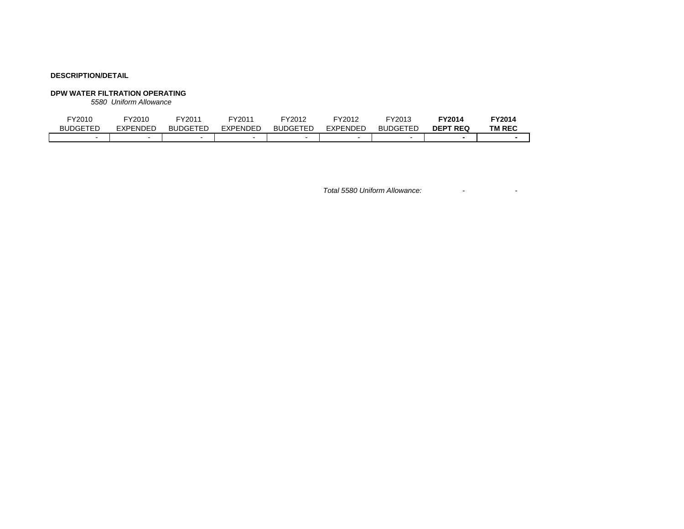# **DPW WATER FILTRATION OPERATING**

*5580 Uniform Allowance*

| FY2010          | FY2010   | FY2011          | FY2011          | FY2012                   | FY2012   | FY2013          | TY2014          | <sup>=</sup> Y2014 |
|-----------------|----------|-----------------|-----------------|--------------------------|----------|-----------------|-----------------|--------------------|
| <b>BUDGETED</b> | EXPENDED | <b>BUDGETED</b> | <b>EXPENDED</b> | <b>BUDGETED</b>          | EXPENDED | <b>BUDGETED</b> | <b>DEPT REQ</b> | <b>TM REC</b>      |
|                 |          |                 |                 | $\overline{\phantom{0}}$ | -        |                 |                 |                    |

*Total 5580 Uniform Allowance:* - -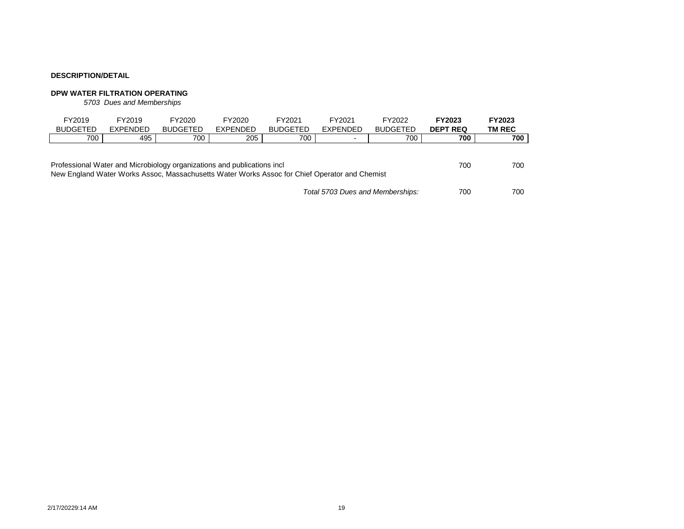# **DPW WATER FILTRATION OPERATING**

*5703 Dues and Memberships*

|                                                                                                                                                                                 | FY2019          | FY2019   | FY2020          | FY2020          | FY2021          | FY2021                   | FY2022          | <b>FY2023</b>   | FY2023 |  |
|---------------------------------------------------------------------------------------------------------------------------------------------------------------------------------|-----------------|----------|-----------------|-----------------|-----------------|--------------------------|-----------------|-----------------|--------|--|
|                                                                                                                                                                                 | <b>BUDGETED</b> | EXPENDED | <b>BUDGETED</b> | <b>EXPENDED</b> | <b>BUDGETED</b> | <b>EXPENDED</b>          | <b>BUDGETED</b> | <b>DEPT REQ</b> | TM REC |  |
|                                                                                                                                                                                 | 700             | 495      | 700             | 205             | 700             | $\overline{\phantom{0}}$ | 700             | 700             | 700    |  |
| Professional Water and Microbiology organizations and publications incl<br>700<br>New England Water Works Assoc, Massachusetts Water Works Assoc for Chief Operator and Chemist |                 |          |                 |                 |                 |                          |                 |                 |        |  |
| Total 5703 Dues and Memberships:                                                                                                                                                |                 |          |                 |                 |                 |                          |                 | 700             | 700    |  |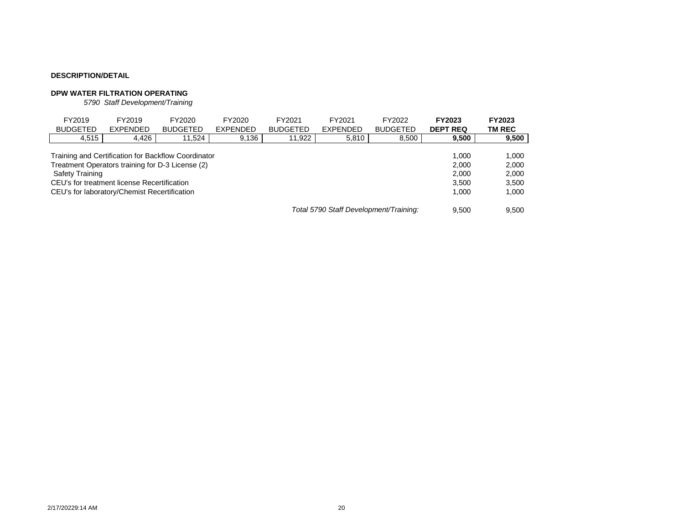# **DPW WATER FILTRATION OPERATING**

*5790 Staff Development/Training*

| FY2019<br><b>BUDGETED</b>                                                                                                                                                                                                                                              | FY2019<br><b>EXPENDED</b> | FY2020<br><b>BUDGETED</b> | FY2020<br><b>EXPENDED</b> | FY2021<br><b>BUDGETED</b> | FY2021<br><b>EXPENDED</b> | FY2022<br><b>BUDGETED</b> | <b>FY2023</b><br><b>DEPT REQ</b> | FY2023<br>TM REC |  |
|------------------------------------------------------------------------------------------------------------------------------------------------------------------------------------------------------------------------------------------------------------------------|---------------------------|---------------------------|---------------------------|---------------------------|---------------------------|---------------------------|----------------------------------|------------------|--|
| 4,515                                                                                                                                                                                                                                                                  | 4,426                     | 11,524                    | 9,136                     | 11,922                    | 5,810                     | 8,500                     | 9,500                            | 9,500            |  |
| Training and Certification for Backflow Coordinator<br>1.000<br>Treatment Operators training for D-3 License (2)<br>2.000<br>Safety Training<br>2.000<br>CEU's for treatment license Recertification<br>3.500<br>CEU's for laboratory/Chemist Recertification<br>1.000 |                           |                           |                           |                           |                           |                           |                                  |                  |  |
| Total 5790 Staff Development/Training:                                                                                                                                                                                                                                 |                           |                           |                           |                           |                           |                           |                                  | 9.500            |  |